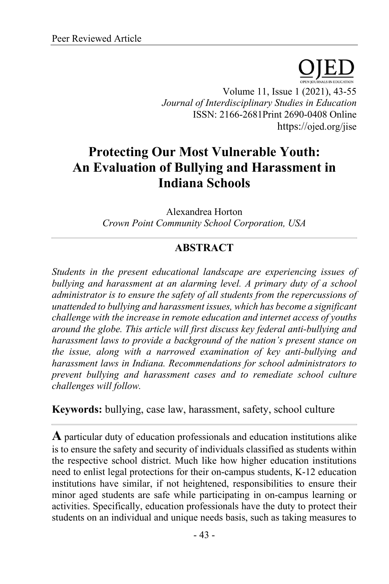Volume 11, Issue 1 (2021), 43-55 *Journal of Interdisciplinary Studies in Education* ISSN: 2166-2681Print 2690-0408 Online https://ojed.org/jise

# **Protecting Our Most Vulnerable Youth: An Evaluation of Bullying and Harassment in Indiana Schools**

Alexandrea Horton *Crown Point Community School Corporation, USA*

## **ABSTRACT**

*Students in the present educational landscape are experiencing issues of bullying and harassment at an alarming level. A primary duty of a school administrator is to ensure the safety of all students from the repercussions of unattended to bullying and harassment issues, which has become a significant challenge with the increase in remote education and internet access of youths around the globe. This article will first discuss key federal anti-bullying and harassment laws to provide a background of the nation's present stance on the issue, along with a narrowed examination of key anti-bullying and harassment laws in Indiana. Recommendations for school administrators to prevent bullying and harassment cases and to remediate school culture challenges will follow.*

**Keywords:** bullying, case law, harassment, safety, school culture

**A** particular duty of education professionals and education institutions alike is to ensure the safety and security of individuals classified as students within the respective school district. Much like how higher education institutions need to enlist legal protections for their on-campus students, K-12 education institutions have similar, if not heightened, responsibilities to ensure their minor aged students are safe while participating in on-campus learning or activities. Specifically, education professionals have the duty to protect their students on an individual and unique needs basis, such as taking measures to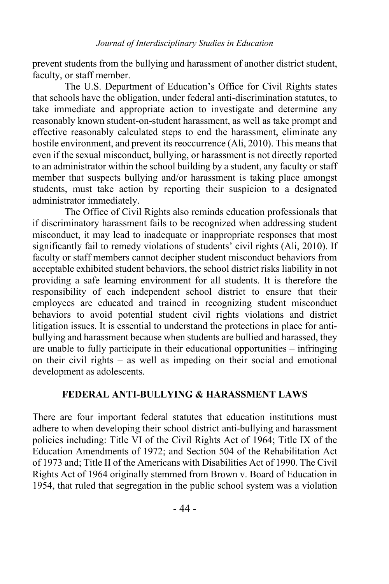prevent students from the bullying and harassment of another district student, faculty, or staff member.

The U.S. Department of Education's Office for Civil Rights states that schools have the obligation, under federal anti-discrimination statutes, to take immediate and appropriate action to investigate and determine any reasonably known student-on-student harassment, as well as take prompt and effective reasonably calculated steps to end the harassment, eliminate any hostile environment, and prevent its reoccurrence (Ali, 2010). This means that even if the sexual misconduct, bullying, or harassment is not directly reported to an administrator within the school building by a student, any faculty or staff member that suspects bullying and/or harassment is taking place amongst students, must take action by reporting their suspicion to a designated administrator immediately.

The Office of Civil Rights also reminds education professionals that if discriminatory harassment fails to be recognized when addressing student misconduct, it may lead to inadequate or inappropriate responses that most significantly fail to remedy violations of students' civil rights (Ali, 2010). If faculty or staff members cannot decipher student misconduct behaviors from acceptable exhibited student behaviors, the school district risks liability in not providing a safe learning environment for all students. It is therefore the responsibility of each independent school district to ensure that their employees are educated and trained in recognizing student misconduct behaviors to avoid potential student civil rights violations and district litigation issues. It is essential to understand the protections in place for antibullying and harassment because when students are bullied and harassed, they are unable to fully participate in their educational opportunities – infringing on their civil rights – as well as impeding on their social and emotional development as adolescents.

#### **FEDERAL ANTI-BULLYING & HARASSMENT LAWS**

There are four important federal statutes that education institutions must adhere to when developing their school district anti-bullying and harassment policies including: Title VI of the Civil Rights Act of 1964; Title IX of the Education Amendments of 1972; and Section 504 of the Rehabilitation Act of 1973 and; Title II of the Americans with Disabilities Act of 1990. The Civil Rights Act of 1964 originally stemmed from Brown v. Board of Education in 1954, that ruled that segregation in the public school system was a violation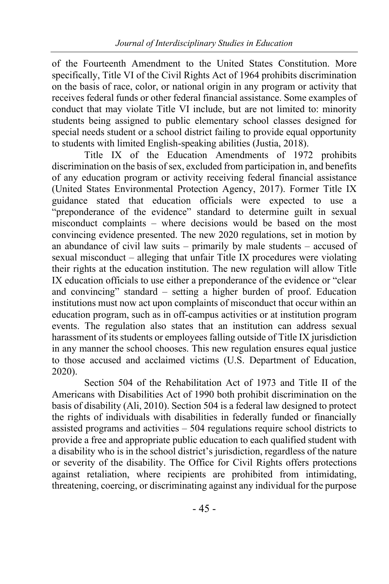of the Fourteenth Amendment to the United States Constitution. More specifically, Title VI of the Civil Rights Act of 1964 prohibits discrimination on the basis of race, color, or national origin in any program or activity that receives federal funds or other federal financial assistance. Some examples of conduct that may violate Title VI include, but are not limited to: minority students being assigned to public elementary school classes designed for special needs student or a school district failing to provide equal opportunity to students with limited English-speaking abilities (Justia, 2018).

Title IX of the Education Amendments of 1972 prohibits discrimination on the basis of sex, excluded from participation in, and benefits of any education program or activity receiving federal financial assistance (United States Environmental Protection Agency, 2017). Former Title IX guidance stated that education officials were expected to use a "preponderance of the evidence" standard to determine guilt in sexual misconduct complaints – where decisions would be based on the most convincing evidence presented. The new 2020 regulations, set in motion by an abundance of civil law suits – primarily by male students – accused of sexual misconduct – alleging that unfair Title IX procedures were violating their rights at the education institution. The new regulation will allow Title IX education officials to use either a preponderance of the evidence or "clear and convincing" standard – setting a higher burden of proof. Education institutions must now act upon complaints of misconduct that occur within an education program, such as in off-campus activities or at institution program events. The regulation also states that an institution can address sexual harassment of its students or employees falling outside of Title IX jurisdiction in any manner the school chooses. This new regulation ensures equal justice to those accused and acclaimed victims (U.S. Department of Education, 2020).

Section 504 of the Rehabilitation Act of 1973 and Title II of the Americans with Disabilities Act of 1990 both prohibit discrimination on the basis of disability (Ali, 2010). Section 504 is a federal law designed to protect the rights of individuals with disabilities in federally funded or financially assisted programs and activities – 504 regulations require school districts to provide a free and appropriate public education to each qualified student with a disability who is in the school district's jurisdiction, regardless of the nature or severity of the disability. The Office for Civil Rights offers protections against retaliation, where recipients are prohibited from intimidating, threatening, coercing, or discriminating against any individual for the purpose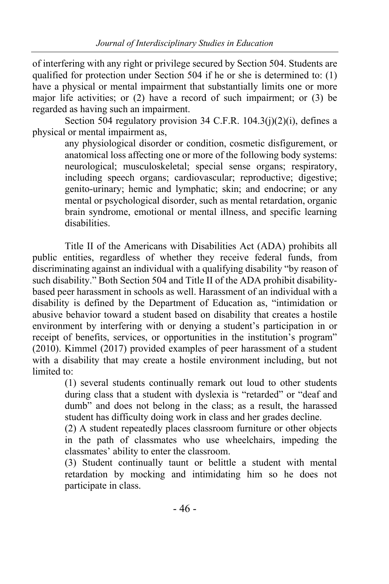of interfering with any right or privilege secured by Section 504. Students are qualified for protection under Section 504 if he or she is determined to: (1) have a physical or mental impairment that substantially limits one or more major life activities; or (2) have a record of such impairment; or (3) be regarded as having such an impairment.

Section 504 regulatory provision 34 C.F.R. 104.3(j)(2)(i), defines a physical or mental impairment as,

any physiological disorder or condition, cosmetic disfigurement, or anatomical loss affecting one or more of the following body systems: neurological; musculoskeletal; special sense organs; respiratory, including speech organs; cardiovascular; reproductive; digestive; genito-urinary; hemic and lymphatic; skin; and endocrine; or any mental or psychological disorder, such as mental retardation, organic brain syndrome, emotional or mental illness, and specific learning disabilities.

Title II of the Americans with Disabilities Act (ADA) prohibits all public entities, regardless of whether they receive federal funds, from discriminating against an individual with a qualifying disability "by reason of such disability." Both Section 504 and Title II of the ADA prohibit disabilitybased peer harassment in schools as well. Harassment of an individual with a disability is defined by the Department of Education as, "intimidation or abusive behavior toward a student based on disability that creates a hostile environment by interfering with or denying a student's participation in or receipt of benefits, services, or opportunities in the institution's program" (2010). Kimmel (2017) provided examples of peer harassment of a student with a disability that may create a hostile environment including, but not limited to:

(1) several students continually remark out loud to other students during class that a student with dyslexia is "retarded" or "deaf and dumb" and does not belong in the class; as a result, the harassed student has difficulty doing work in class and her grades decline.

(2) A student repeatedly places classroom furniture or other objects in the path of classmates who use wheelchairs, impeding the classmates' ability to enter the classroom.

(3) Student continually taunt or belittle a student with mental retardation by mocking and intimidating him so he does not participate in class.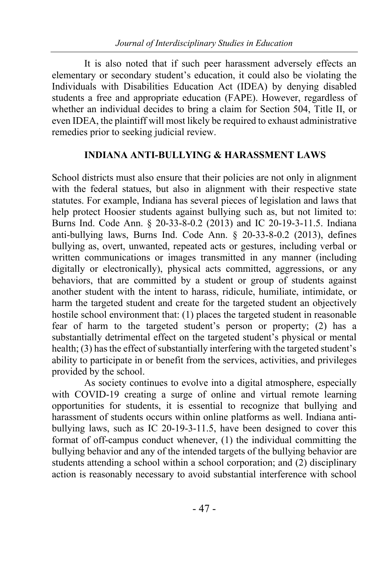It is also noted that if such peer harassment adversely effects an elementary or secondary student's education, it could also be violating the Individuals with Disabilities Education Act (IDEA) by denying disabled students a free and appropriate education (FAPE). However, regardless of whether an individual decides to bring a claim for Section 504, Title II, or even IDEA, the plaintiff will most likely be required to exhaust administrative remedies prior to seeking judicial review.

#### **INDIANA ANTI-BULLYING & HARASSMENT LAWS**

School districts must also ensure that their policies are not only in alignment with the federal statues, but also in alignment with their respective state statutes. For example, Indiana has several pieces of legislation and laws that help protect Hoosier students against bullying such as, but not limited to: Burns Ind. Code Ann. § 20-33-8-0.2 (2013) and IC 20-19-3-11.5. Indiana anti-bullying laws, Burns Ind. Code Ann. § 20-33-8-0.2 (2013), defines bullying as, overt, unwanted, repeated acts or gestures, including verbal or written communications or images transmitted in any manner (including digitally or electronically), physical acts committed, aggressions, or any behaviors, that are committed by a student or group of students against another student with the intent to harass, ridicule, humiliate, intimidate, or harm the targeted student and create for the targeted student an objectively hostile school environment that: (1) places the targeted student in reasonable fear of harm to the targeted student's person or property; (2) has a substantially detrimental effect on the targeted student's physical or mental health; (3) has the effect of substantially interfering with the targeted student's ability to participate in or benefit from the services, activities, and privileges provided by the school.

As society continues to evolve into a digital atmosphere, especially with COVID-19 creating a surge of online and virtual remote learning opportunities for students, it is essential to recognize that bullying and harassment of students occurs within online platforms as well. Indiana antibullying laws, such as IC 20-19-3-11.5, have been designed to cover this format of off-campus conduct whenever, (1) the individual committing the bullying behavior and any of the intended targets of the bullying behavior are students attending a school within a school corporation; and (2) disciplinary action is reasonably necessary to avoid substantial interference with school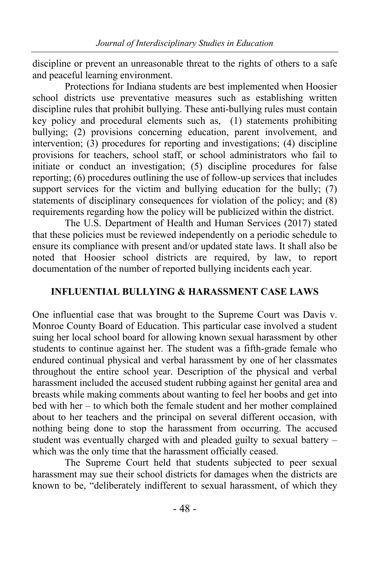discipline or prevent an unreasonable threat to the rights of others to a safe and peaceful learning environment.

Protections for Indiana students are best implemented when Hoosier school districts use preventative measures such as establishing written discipline rules that prohibit bullying. These anti-bullying rules must contain key policy and procedural elements such as, (1) statements prohibiting bullying; (2) provisions concerning education, parent involvement, and intervention; (3) procedures for reporting and investigations; (4) discipline provisions for teachers, school staff, or school administrators who fail to initiate or conduct an investigation; (5) discipline procedures for false reporting; (6) procedures outlining the use of follow-up services that includes support services for the victim and bullying education for the bully; (7) statements of disciplinary consequences for violation of the policy; and (8) requirements regarding how the policy will be publicized within the district.

The U.S. Department of Health and Human Services (2017) stated that these policies must be reviewed independently on a periodic schedule to ensure its compliance with present and/or updated state laws. It shall also be noted that Hoosier school districts are required, by law, to report documentation of the number of reported bullying incidents each year.

#### **INFLUENTIAL BULLYING & HARASSMENT CASE LAWS**

One influential case that was brought to the Supreme Court was Davis v. Monroe County Board of Education. This particular case involved a student suing her local school board for allowing known sexual harassment by other students to continue against her. The student was a fifth-grade female who endured continual physical and verbal harassment by one of her classmates throughout the entire school year. Description of the physical and verbal harassment included the accused student rubbing against her genital area and breasts while making comments about wanting to feel her boobs and get into bed with her – to which both the female student and her mother complained about to her teachers and the principal on several different occasion, with nothing being done to stop the harassment from occurring. The accused student was eventually charged with and pleaded guilty to sexual battery – which was the only time that the harassment officially ceased.

The Supreme Court held that students subjected to peer sexual harassment may sue their school districts for damages when the districts are known to be, "deliberately indifferent to sexual harassment, of which they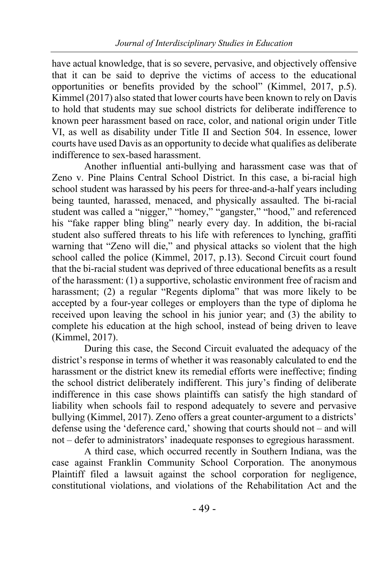have actual knowledge, that is so severe, pervasive, and objectively offensive that it can be said to deprive the victims of access to the educational opportunities or benefits provided by the school" (Kimmel, 2017, p.5). Kimmel (2017) also stated that lower courts have been known to rely on Davis to hold that students may sue school districts for deliberate indifference to known peer harassment based on race, color, and national origin under Title VI, as well as disability under Title II and Section 504. In essence, lower courts have used Davis as an opportunity to decide what qualifies as deliberate indifference to sex-based harassment.

Another influential anti-bullying and harassment case was that of Zeno v. Pine Plains Central School District. In this case, a bi-racial high school student was harassed by his peers for three-and-a-half years including being taunted, harassed, menaced, and physically assaulted. The bi-racial student was called a "nigger," "homey," "gangster," "hood," and referenced his "fake rapper bling bling" nearly every day. In addition, the bi-racial student also suffered threats to his life with references to lynching, graffiti warning that "Zeno will die," and physical attacks so violent that the high school called the police (Kimmel, 2017, p.13). Second Circuit court found that the bi-racial student was deprived of three educational benefits as a result of the harassment: (1) a supportive, scholastic environment free of racism and harassment; (2) a regular "Regents diploma" that was more likely to be accepted by a four-year colleges or employers than the type of diploma he received upon leaving the school in his junior year; and (3) the ability to complete his education at the high school, instead of being driven to leave (Kimmel, 2017).

During this case, the Second Circuit evaluated the adequacy of the district's response in terms of whether it was reasonably calculated to end the harassment or the district knew its remedial efforts were ineffective; finding the school district deliberately indifferent. This jury's finding of deliberate indifference in this case shows plaintiffs can satisfy the high standard of liability when schools fail to respond adequately to severe and pervasive bullying (Kimmel, 2017). Zeno offers a great counter-argument to a districts' defense using the 'deference card,' showing that courts should not – and will not – defer to administrators' inadequate responses to egregious harassment.

A third case, which occurred recently in Southern Indiana, was the case against Franklin Community School Corporation. The anonymous Plaintiff filed a lawsuit against the school corporation for negligence, constitutional violations, and violations of the Rehabilitation Act and the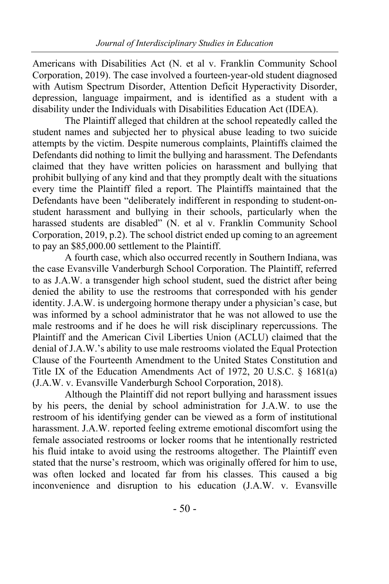Americans with Disabilities Act (N. et al v. Franklin Community School Corporation, 2019). The case involved a fourteen-year-old student diagnosed with Autism Spectrum Disorder, Attention Deficit Hyperactivity Disorder, depression, language impairment, and is identified as a student with a disability under the Individuals with Disabilities Education Act (IDEA).

The Plaintiff alleged that children at the school repeatedly called the student names and subjected her to physical abuse leading to two suicide attempts by the victim. Despite numerous complaints, Plaintiffs claimed the Defendants did nothing to limit the bullying and harassment. The Defendants claimed that they have written policies on harassment and bullying that prohibit bullying of any kind and that they promptly dealt with the situations every time the Plaintiff filed a report. The Plaintiffs maintained that the Defendants have been "deliberately indifferent in responding to student-onstudent harassment and bullying in their schools, particularly when the harassed students are disabled" (N. et al v. Franklin Community School Corporation, 2019, p.2). The school district ended up coming to an agreement to pay an \$85,000.00 settlement to the Plaintiff.

A fourth case, which also occurred recently in Southern Indiana, was the case Evansville Vanderburgh School Corporation. The Plaintiff, referred to as J.A.W. a transgender high school student, sued the district after being denied the ability to use the restrooms that corresponded with his gender identity. J.A.W. is undergoing hormone therapy under a physician's case, but was informed by a school administrator that he was not allowed to use the male restrooms and if he does he will risk disciplinary repercussions. The Plaintiff and the American Civil Liberties Union (ACLU) claimed that the denial of J.A.W.'s ability to use male restrooms violated the Equal Protection Clause of the Fourteenth Amendment to the United States Constitution and Title IX of the Education Amendments Act of 1972, 20 U.S.C. § 1681(a) (J.A.W. v. Evansville Vanderburgh School Corporation, 2018).

Although the Plaintiff did not report bullying and harassment issues by his peers, the denial by school administration for J.A.W. to use the restroom of his identifying gender can be viewed as a form of institutional harassment. J.A.W. reported feeling extreme emotional discomfort using the female associated restrooms or locker rooms that he intentionally restricted his fluid intake to avoid using the restrooms altogether. The Plaintiff even stated that the nurse's restroom, which was originally offered for him to use, was often locked and located far from his classes. This caused a big inconvenience and disruption to his education (J.A.W. v. Evansville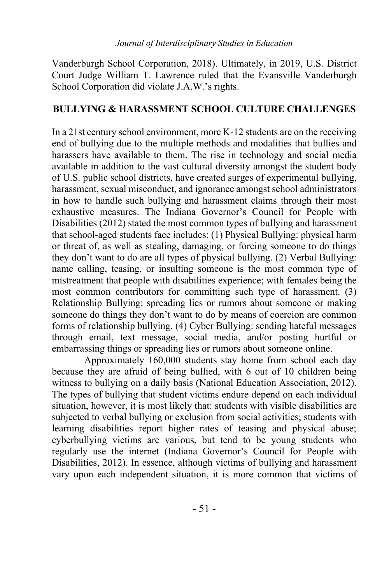Vanderburgh School Corporation, 2018). Ultimately, in 2019, U.S. District Court Judge William T. Lawrence ruled that the Evansville Vanderburgh School Corporation did violate J.A.W.'s rights.

### **BULLYING & HARASSMENT SCHOOL CULTURE CHALLENGES**

In a 21st century school environment, more K-12 students are on the receiving end of bullying due to the multiple methods and modalities that bullies and harassers have available to them. The rise in technology and social media available in addition to the vast cultural diversity amongst the student body of U.S. public school districts, have created surges of experimental bullying, harassment, sexual misconduct, and ignorance amongst school administrators in how to handle such bullying and harassment claims through their most exhaustive measures. The Indiana Governor's Council for People with Disabilities (2012) stated the most common types of bullying and harassment that school-aged students face includes: (1) Physical Bullying: physical harm or threat of, as well as stealing, damaging, or forcing someone to do things they don't want to do are all types of physical bullying. (2) Verbal Bullying: name calling, teasing, or insulting someone is the most common type of mistreatment that people with disabilities experience; with females being the most common contributors for committing such type of harassment. (3) Relationship Bullying: spreading lies or rumors about someone or making someone do things they don't want to do by means of coercion are common forms of relationship bullying. (4) Cyber Bullying: sending hateful messages through email, text message, social media, and/or posting hurtful or embarrassing things or spreading lies or rumors about someone online.

Approximately 160,000 students stay home from school each day because they are afraid of being bullied, with 6 out of 10 children being witness to bullying on a daily basis (National Education Association, 2012). The types of bullying that student victims endure depend on each individual situation, however, it is most likely that: students with visible disabilities are subjected to verbal bullying or exclusion from social activities; students with learning disabilities report higher rates of teasing and physical abuse; cyberbullying victims are various, but tend to be young students who regularly use the internet (Indiana Governor's Council for People with Disabilities, 2012). In essence, although victims of bullying and harassment vary upon each independent situation, it is more common that victims of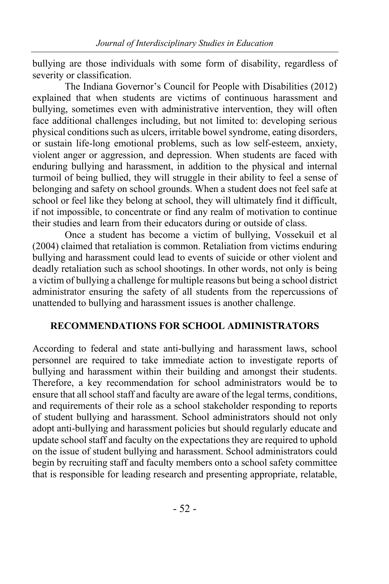bullying are those individuals with some form of disability, regardless of severity or classification.

The Indiana Governor's Council for People with Disabilities (2012) explained that when students are victims of continuous harassment and bullying, sometimes even with administrative intervention, they will often face additional challenges including, but not limited to: developing serious physical conditions such as ulcers, irritable bowel syndrome, eating disorders, or sustain life-long emotional problems, such as low self-esteem, anxiety, violent anger or aggression, and depression. When students are faced with enduring bullying and harassment, in addition to the physical and internal turmoil of being bullied, they will struggle in their ability to feel a sense of belonging and safety on school grounds. When a student does not feel safe at school or feel like they belong at school, they will ultimately find it difficult, if not impossible, to concentrate or find any realm of motivation to continue their studies and learn from their educators during or outside of class.

Once a student has become a victim of bullying, Vossekuil et al (2004) claimed that retaliation is common. Retaliation from victims enduring bullying and harassment could lead to events of suicide or other violent and deadly retaliation such as school shootings. In other words, not only is being a victim of bullying a challenge for multiple reasons but being a school district administrator ensuring the safety of all students from the repercussions of unattended to bullying and harassment issues is another challenge.

#### **RECOMMENDATIONS FOR SCHOOL ADMINISTRATORS**

According to federal and state anti-bullying and harassment laws, school personnel are required to take immediate action to investigate reports of bullying and harassment within their building and amongst their students. Therefore, a key recommendation for school administrators would be to ensure that all school staff and faculty are aware of the legal terms, conditions, and requirements of their role as a school stakeholder responding to reports of student bullying and harassment. School administrators should not only adopt anti-bullying and harassment policies but should regularly educate and update school staff and faculty on the expectations they are required to uphold on the issue of student bullying and harassment. School administrators could begin by recruiting staff and faculty members onto a school safety committee that is responsible for leading research and presenting appropriate, relatable,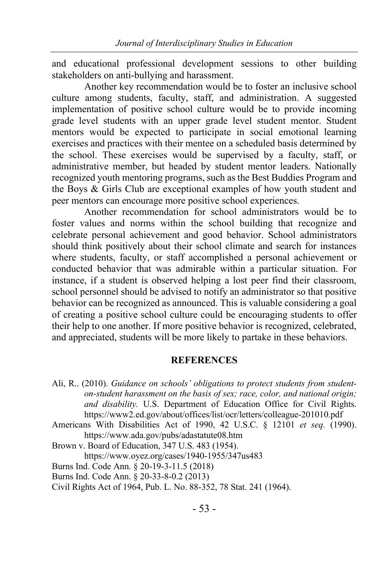and educational professional development sessions to other building stakeholders on anti-bullying and harassment.

Another key recommendation would be to foster an inclusive school culture among students, faculty, staff, and administration. A suggested implementation of positive school culture would be to provide incoming grade level students with an upper grade level student mentor. Student mentors would be expected to participate in social emotional learning exercises and practices with their mentee on a scheduled basis determined by the school. These exercises would be supervised by a faculty, staff, or administrative member, but headed by student mentor leaders. Nationally recognized youth mentoring programs, such as the Best Buddies Program and the Boys & Girls Club are exceptional examples of how youth student and peer mentors can encourage more positive school experiences.

Another recommendation for school administrators would be to foster values and norms within the school building that recognize and celebrate personal achievement and good behavior. School administrators should think positively about their school climate and search for instances where students, faculty, or staff accomplished a personal achievement or conducted behavior that was admirable within a particular situation. For instance, if a student is observed helping a lost peer find their classroom, school personnel should be advised to notify an administrator so that positive behavior can be recognized as announced. This is valuable considering a goal of creating a positive school culture could be encouraging students to offer their help to one another. If more positive behavior is recognized, celebrated, and appreciated, students will be more likely to partake in these behaviors.

#### **REFERENCES**

Ali, R.. (2010). *Guidance on schools' obligations to protect students from studenton-student harassment on the basis of sex; race, color, and national origin; and disability.* U.S. Department of Education Office for Civil Rights. https://www2.ed.gov/about/offices/list/ocr/letters/colleague-201010.pdf

Americans With Disabilities Act of 1990, 42 U.S.C. § 12101 *et seq.* (1990). https://www.ada.gov/pubs/adastatute08.htm

- Brown v. Board of Education, 347 U.S. 483 (1954).
	- https://www.oyez.org/cases/1940-1955/347us483
- Burns Ind. Code Ann. § 20-19-3-11.5 (2018)
- Burns Ind. Code Ann. § 20-33-8-0.2 (2013)
- Civil Rights Act of 1964, Pub. L. No. 88-352, 78 Stat. 241 (1964).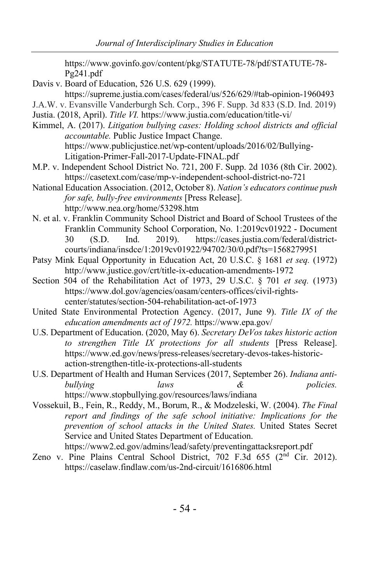https://www.govinfo.gov/content/pkg/STATUTE-78/pdf/STATUTE-78- Pg241.pdf

- Davis v. Board of Education, 526 U.S. 629 (1999). https://supreme.justia.com/cases/federal/us/526/629/#tab-opinion-1960493 J.A.W. v. Evansville Vanderburgh Sch. Corp., 396 F. Supp. 3d 833 (S.D. Ind. 2019)
- 
- Justia. (2018, April). *Title VI.* https://www.justia.com/education/title-vi/
- Kimmel, A. (2017). *Litigation bullying cases: Holding school districts and official accountable.* Public Justice Impact Change. https://www.publicjustice.net/wp-content/uploads/2016/02/Bullying-Litigation-Primer-Fall-2017-Update-FINAL.pdf
- M.P. v. Independent School District No. 721, 200 F. Supp. 2d 1036 (8th Cir. 2002). https://casetext.com/case/mp-v-independent-school-district-no-721
- National Education Association. (2012, October 8). *Nation's educators continue push for safe, bully-free environments* [Press Release]. http://www.nea.org/home/53298.htm
- N. et al. v. Franklin Community School District and Board of School Trustees of the Franklin Community School Corporation, No. 1:2019cv01922 - Document 30 (S.D. Ind. 2019). https://cases.justia.com/federal/districtcourts/indiana/insdce/1:2019cv01922/94702/30/0.pdf?ts=1568279951
- Patsy Mink Equal Opportunity in Education Act, 20 U.S.C. § 1681 *et seq.* (1972) http://www.justice.gov/crt/title-ix-education-amendments-1972
- Section 504 of the Rehabilitation Act of 1973, 29 U.S.C. § 701 *et seq.* (1973) https://www.dol.gov/agencies/oasam/centers-offices/civil-rightscenter/statutes/section-504-rehabilitation-act-of-1973
- United State Environmental Protection Agency. (2017, June 9). *Title IX of the education amendments act of 1972.* https://www.epa.gov/
- U.S. Department of Education. (2020, May 6). *Secretary DeVos takes historic action to strengthen Title IX protections for all students* [Press Release]. https://www.ed.gov/news/press-releases/secretary-devos-takes-historicaction-strengthen-title-ix-protections-all-students
- U.S. Department of Health and Human Services (2017, September 26). *Indiana antibullying laws & policies.*  https://www.stopbullying.gov/resources/laws/indiana
- Vossekuil, B., Fein, R., Reddy, M., Borum, R., & Modzeleski, W. (2004). *The Final report and findings of the safe school initiative: Implications for the prevention of school attacks in the United States.* United States Secret Service and United States Department of Education. https://www2.ed.gov/admins/lead/safety/preventingattacksreport.pdf
- Zeno v. Pine Plains Central School District, 702 F.3d 655 ( $2<sup>nd</sup>$  Cir. 2012). https://caselaw.findlaw.com/us-2nd-circuit/1616806.html